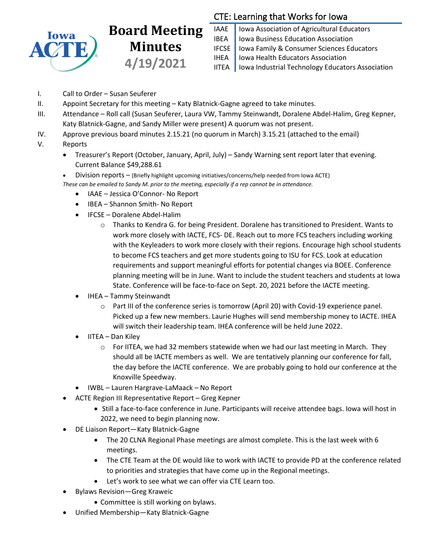

# **Board Meeting Minutes 4/19/2021**

## CTE: Learning that Works for Iowa

IAAE | Iowa Association of Agricultural Educators **IBEA** | Iowa Business Education Association IFCSE Iowa Family & Consumer Sciences Educators IHEA | Iowa Health Educators Association IITEA | Iowa Industrial Technology Educators Association

- I. Call to Order Susan Seuferer
- II. Appoint Secretary for this meeting Katy Blatnick-Gagne agreed to take minutes.
- III. Attendance Roll call (Susan Seuferer, Laura VW, Tammy Steinwandt, Doralene Abdel-Halim, Greg Kepner, Katy Blatnick-Gagne, and Sandy Miller were present) A quorum was not present.
- IV. Approve previous board minutes 2.15.21 (no quorum in March) 3.15.21 (attached to the email)
- V. Reports
	- Treasurer's Report (October, January, April, July) Sandy Warning sent report later that evening. Current Balance \$49,288.61
	- Division reports (Briefly highlight upcoming initiatives/concerns/help needed from Iowa ACTE) *These can be emailed to Sandy M. prior to the meeting, especially if a rep cannot be in attendance.*
		- IAAE Jessica O'Connor- No Report
		- IBEA Shannon Smith- No Report
		- IFCSE Doralene Abdel-Halim
			- o Thanks to Kendra G. for being President. Doralene has transitioned to President. Wants to work more closely with IACTE, FCS- DE. Reach out to more FCS teachers including working with the Keyleaders to work more closely with their regions. Encourage high school students to become FCS teachers and get more students going to ISU for FCS. Look at education requirements and support meaningful efforts for potential changes via BOEE. Conference planning meeting will be in June. Want to include the student teachers and students at Iowa State. Conference will be face-to-face on Sept. 20, 2021 before the IACTE meeting.
		- IHEA Tammy Steinwandt
			- o Part III of the conference series is tomorrow (April 20) with Covid-19 experience panel. Picked up a few new members. Laurie Hughes will send membership money to IACTE. IHEA will switch their leadership team. IHEA conference will be held June 2022.
		- IITEA Dan Kiley
			- $\circ$  For IITEA, we had 32 members statewide when we had our last meeting in March. They should all be IACTE members as well. We are tentatively planning our conference for fall, the day before the IACTE conference. We are probably going to hold our conference at the Knoxville Speedway.
		- IWBL Lauren Hargrave-LaMaack No Report
	- ACTE Region III Representative Report Greg Kepner
		- Still a face-to-face conference in June. Participants will receive attendee bags. Iowa will host in 2022, we need to begin planning now.
	- DE Liaison Report—Katy Blatnick-Gagne
		- The 20 CLNA Regional Phase meetings are almost complete. This is the last week with 6 meetings.
		- The CTE Team at the DE would like to work with IACTE to provide PD at the conference related to priorities and strategies that have come up in the Regional meetings.
		- Let's work to see what we can offer via CTE Learn too.
	- Bylaws Revision—Greg Kraweic
		- Committee is still working on bylaws.
	- Unified Membership—Katy Blatnick-Gagne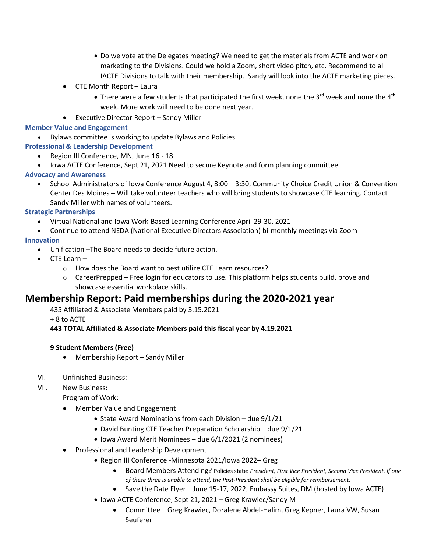- Do we vote at the Delegates meeting? We need to get the materials from ACTE and work on marketing to the Divisions. Could we hold a Zoom, short video pitch, etc. Recommend to all IACTE Divisions to talk with their membership. Sandy will look into the ACTE marketing pieces.
- CTE Month Report Laura
	- There were a few students that participated the first week, none the 3<sup>rd</sup> week and none the 4<sup>th</sup> week. More work will need to be done next year.
- Executive Director Report Sandy Miller

#### **Member Value and Engagement**

• Bylaws committee is working to update Bylaws and Policies.

#### **Professional & Leadership Development**

- Region III Conference, MN, June 16 18
- Iowa ACTE Conference, Sept 21, 2021 Need to secure Keynote and form planning committee

#### **Advocacy and Awareness**

• School Administrators of Iowa Conference August 4, 8:00 – 3:30, Community Choice Credit Union & Convention Center Des Moines – Will take volunteer teachers who will bring students to showcase CTE learning. Contact Sandy Miller with names of volunteers.

#### **Strategic Partnerships**

- Virtual National and Iowa Work-Based Learning Conference April 29-30, 2021
- Continue to attend NEDA (National Executive Directors Association) bi-monthly meetings via Zoom

#### **Innovation**

- Unification –The Board needs to decide future action.
- CTE Learn
	- o How does the Board want to best utilize CTE Learn resources?
	- $\circ$  CareerPrepped Free login for educators to use. This platform helps students build, prove and showcase essential workplace skills.

### **Membership Report: Paid memberships during the 2020-2021 year**

435 Affiliated & Associate Members paid by 3.15.2021

+ 8 to ACTE

#### **443 TOTAL Affiliated & Associate Members paid this fiscal year by 4.19.2021**

#### **9 Student Members (Free)**

• Membership Report – Sandy Miller

#### VI. Unfinished Business:

VII. New Business:

Program of Work:

- Member Value and Engagement
	- State Award Nominations from each Division due 9/1/21
	- David Bunting CTE Teacher Preparation Scholarship due 9/1/21
	- Iowa Award Merit Nominees due 6/1/2021 (2 nominees)
- Professional and Leadership Development
	- Region III Conference -Minnesota 2021/Iowa 2022– Greg
		- Board Members Attending? Policies state: *President, First Vice President, Second Vice President. If one of these three is unable to attend, the Past-President shall be eligible for reimbursement.*
		- Save the Date Flyer June 15-17, 2022, Embassy Suites, DM (hosted by Iowa ACTE)
	- Iowa ACTE Conference, Sept 21, 2021 Greg Krawiec/Sandy M
		- Committee—Greg Krawiec, Doralene Abdel-Halim, Greg Kepner, Laura VW, Susan Seuferer